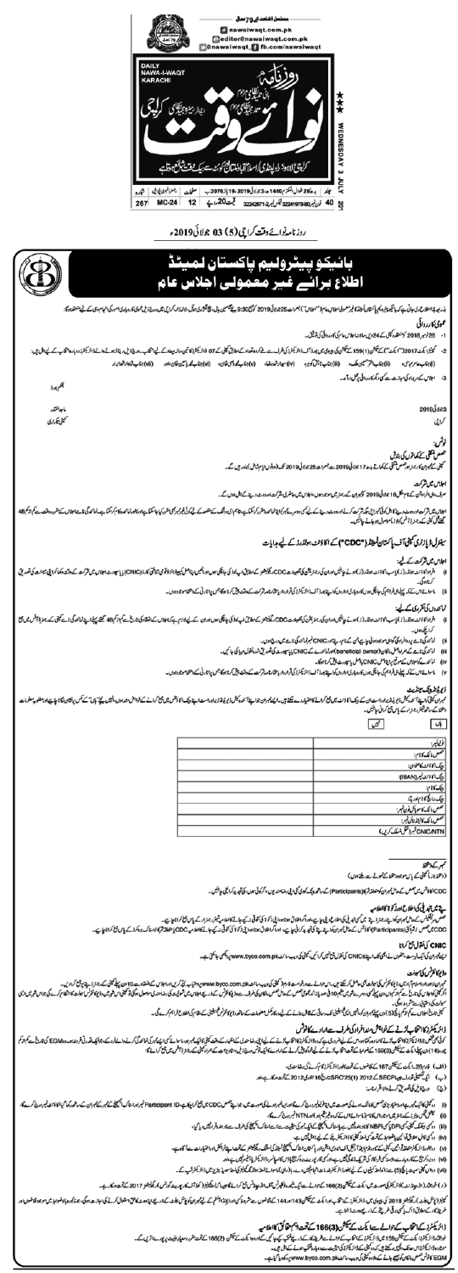

روزنامہ نوائے وقت کراچی (5) 63 جولائی 2019ء



- کرناہوگی۔
	- ماسوائے اس کے کہ پہلے تی فراہم کی جاچکی ہوں کاروباری اواروں کواپنے بورڈ آف ڈائریکٹرز کی قرار تاکل تاریخ کے بیٹ تحریک کے مختلف پر پہلے کے دھواد میں راثار ٹی کے دھواد میں ا

## نمائحدوں کی تقرری کے لیے:

- - 0 کراچکے ہوا
	- تما بحد کی نامے پر دوافراد کی گواہی موجود ہوٹی جا ہے جن کے نام، پینا اور CNIC نمبرنما بحد کی نامے میں درج ہوں۔ (ii
	- ٹمائیر گی نامے کے ہمراہ اصل ما کان(beneficial owner) اورنمائندے کے CNIC پایا سپورٹ کی تصدیق شدہ فقول مہیا کی جاتھی۔ (iii
		- iv) گمانحدےکواجلاس کے موقع پراپنا ایسل CNIC پائیکس یا سپورٹ پیش کرنا ہوگا۔
	- ۷) ماسوات اس کے کہ پہلے تافراہم کی جانکی ہوں کاروباری اداروں کواپنے یورڈ آف ڈائریکٹر قرران کی اور شیش میں میں میں اس ٹی کے دھوا موجود ہوں۔

## ڈیے پڑھ پیک مینڈیٹ

بال

مبران كيفى كوابية اسحدار المناسبة الناسك ويك اكاؤنث مى مع تحت المستول المسابعة المحت والمسابعة وين المناسبة وينك كالوشش مى بعجع كرانے سكروا والمن من بول الحاس في الباس مي تول الأساسي الاس المن المسابق في الباس المن الأس ال دهخلا سك سالته شيئر رجنرار سكه ياس جع كرانى حياتيكن۔

| فرلينبر:<br>حسس ما لک¥?م:                                                                                                              |  |
|----------------------------------------------------------------------------------------------------------------------------------------|--|
|                                                                                                                                        |  |
| ریک اکاڈنٹ کاعوان:<br>دیک اکاڈنٹ ٹیمر(IBAN):                                                                                           |  |
|                                                                                                                                        |  |
|                                                                                                                                        |  |
|                                                                                                                                        |  |
|                                                                                                                                        |  |
|                                                                                                                                        |  |
| ویک کانام:<br>ویک برانگا کانام ادری:<br>ویک برانگا کانام ادری:<br>حصص ما ک کالینڈ لاگن نیمر:<br>حصص ما ک کالینڈ لاگن نیمر:<br>CNIC/NTN |  |
|                                                                                                                                        |  |

# کمبر کے دستھلا

(وحقط لازماً مجنى كے پاس موجود و حقط سے تعمول )

CDC کا ڈیٹس میں حصص کے حامل مجبران کومتعلقہ شرکا (Participants) کے ساتھ دینک کودی گئی اپنی رضامندیوں، اگر کوئی ایک ایک میں اینچیں۔

## ہے میں تبدیلی کی اطلاع اورز کو 8 کا اعلامیہ

صص مرتک کے مال مبران کواستار جنر ڈے میں کی تبدیل کی اطلاع دین مال اطلاق ہوتا ہو، اپن ذکر ہو کی کنوتی نہ کے مال اس بشتر رجنٹ ارک پاس بھی کرانا جاہے۔ CDC میں صص اشرائ(Participants)اکاؤنٹس کےحال ممبران کواپنے کی تھدید کرائی کی جات کا دوناہوں کا اعلامیہ CDC یا متعلقہ شرکا المناک بروکرز کے پاس جن کرانا جائے۔

CNIC کی نقرل جع کرانا

ایسے مجران کی ایک فہرست، جنھوں نے ایکی تک استے CNICs کی نقول جن پھی کرائیں، کچنی کی دیب مائٹ de veww.byco.com.pk بریکھی جاسکتی ہے۔

## وذيوكا نفرنس كى سبولت

ممبران لابوراوراسلام آباد میں وڑی کانولس کی سیکس کی سیاس میں اس کے اس کے کہا کہ سیاس کر ہے کہ کہ اور اجارات کے اقتدادت کیا کہ اس کے بین کے دین کے تراویں۔ اكر كانى كامون سيكر كوارس المائي كى دوسرے شرش متم 10 فى صديان ايكر ميں الاس الى اس الاس الى الى است العوال واقع الى اس شرش واج كانفراس بول الى اس الى الى اس الى اس الى اس الى اس الى الى اس الى الى اس الى الى اس الى اس الى سہولت کی دستیانی سے مشر و ماہوگی۔ سینی ناری اجلاس سے اوکر کا پانچ (5)ون پہلےمبران کو ایس ایک سیلیٹی تک رسائل سے تا کے سیاست اس تھے وڈی طولر کیسیلیٹی سے مقام کی اطلاع فراہم کرے گی۔

# ڈائریکٹرز کاانتخاب لڑنے کےخواہش مندافراد کی طرف سےارادے کا نوٹس

کوٹی مجی جوڈائر یکٹرزکا حقاب اڑتے اور اس کے لیے ضروری ہے کہ وہ انریکٹرزکا احماس کے ایا کہ اس کے اس کے اس کے اس کے ایک تقدرتی فروند وے اس اس کے اور تک چواک اور اس کے اور اس کی ایک تقدرتی اور اس کی ایک تقدرتی اور اس کی اس ا 

(الف) فارم28-ما يكث سكيكش 167 سكة ضول كے تحت بطورڈ انزيكٹرز كام كرنے كى رضا مندى،

- (ب) ایک تعیل تمارف جیےSECP (1) 2012 (1) 46 کی 16 جورہ 2012 کے تحدہ کارے اور
	- (ج) درج ف<sub>ی</sub>ل کی تصدیق کرنے والا اقرار نامہ:

- (ii) تعیین لیکس پیٹر زک بر جنر میں موجوداس کا نام(ماسائے اس کے کہ وہ فیر میٹم ہو )اورNTN نمبر درج کرےگا،
- (iii) دوکن پیکنگ کپنی، کا DFI یکی NBFI کاناد ہندولپں ہے یااسٹاک پھیلنے کے ایک مہمرکی حیثیت سے اسے اسکان پھیلنج کی طرف سے ناوہندوقرارفپس دیا گیا،
	- (iv) ووكى قاتل الطلاق قوا نين ياضوا بار سترقت كل اسله كينى كا ذائر يكثر فيت ك لي نامال فين ب،
- (٧) ووجلورذائر يكفر متعاقدتوا نين، تميني سے مورشة ما ينتما آف ايسوى ايش استان ايناك ايم مج لونڈ كى استشك ريگوليشنو سے تحت سے فرائض اوراحتيارات سے آگاہے،

(٧)) دوبروکریج کے کاروبارے وابستہ کی فرد کار کی شریک زندگی فیس ہے،اور کسی کار پورے بروکریج باؤس کا اس وڈائر یکشر یا آفیسر فیس ہے،اور (vii) دواس کیٹی سیت پائچ (5) سے ذاکدلعڈ کپنیوں کے لیے بطورڈ ائر یکٹرخدمات انجام میں رے دبار دیکھنے الشائع الشریح بی شرح میں ڈائر یکٹرشپ کے۔

کینیز (پٹل بیلٹ )ریکیلیٹز 2018 کی پیروز کے اس اورا یکٹ کے شام 143 اور144 کے شرور کی اوراپینڈ ایکھ کے پیل پیل سے زریعے پناووٹ کا من استعال کرنے کی اجازت ہوگی جدیکوں جا جی موجود پی ایک موجود پی ایک موجود پی ایک موجود پی ایک طريقه كارك مطابق ذاك ياكسى برقى طريقة كذريعة ووث ذالناب.

> ڈائریکٹرز کے انتخاب کے حوالے سے ایکٹ کے سیکشن(3)166 کے تحت اہم حقائق کااعلامیہ خود مخار ذائر یکٹرزا یکٹ کے مشن 159 میں ڈائریکٹرز کے تھا۔ اسے طریقے ارکے دریلے تھی۔ کے دروہ ایکٹ کے مختلف میں اس کے تعاریب کے است ترین کے۔ موجود وڈائریکٹرزاس عدتک دکچیں رکھتے ہیں کہ دو کپنی کے ڈائریکٹرز کی حیثیت سے دوبارہ فتنب ہونے کے مامل ہیں۔ EGM كالونش حصص مالكان كونيصيص جانے كے ملادہ كبتى كى ويب سائٹ www.byco.com.pk كى دىكتا كيا ہے۔